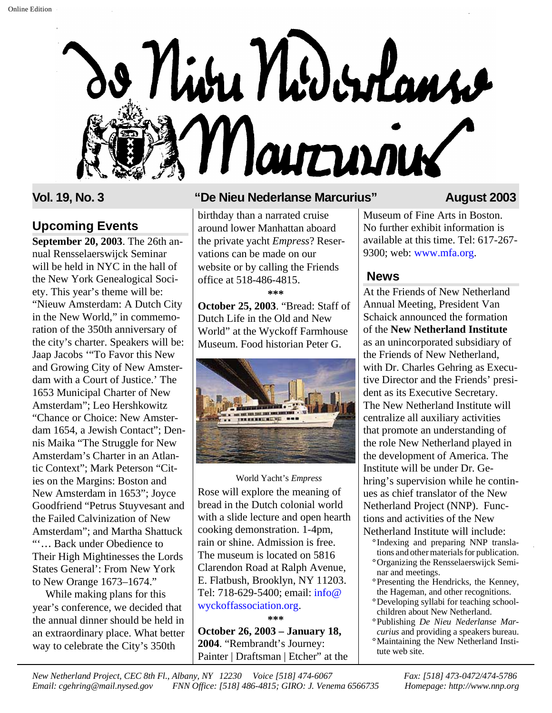

### **Upcoming Events**

**September 20, 2003**. The 26th annual Rensselaerswijck Seminar will be held in NYC in the hall of the New York Genealogical Society. This year's theme will be: "Nieuw Amsterdam: A Dutch City in the New World," in commemoration of the 350th anniversary of the city's charter. Speakers will be: Jaap Jacobs '"To Favor this New and Growing City of New Amsterdam with a Court of Justice.' The 1653 Municipal Charter of New Amsterdam"; Leo Hershkowitz "Chance or Choice: New Amsterdam 1654, a Jewish Contact"; Dennis Maika "The Struggle for New Amsterdam's Charter in an Atlantic Context"; Mark Peterson "Cities on the Margins: Boston and New Amsterdam in 1653"; Joyce Goodfriend "Petrus Stuyvesant and the Failed Calvinization of New Amsterdam"; and Martha Shattuck "'… Back under Obedience to Their High Mightinesses the Lords States General': From New York to New Orange 1673–1674."

While making plans for this year's conference, we decided that the annual dinner should be held in an extraordinary place. What better way to celebrate the City's 350th

### **Vol. 19, No. 3 "De Nieu Nederlanse Marcurius" August 2003**

birthday than a narrated cruise around lower Manhattan aboard the private yacht *Empress*? Reservations can be made on our website or by calling the Friends office at 518-486-4815. **\*\*\***

**October 25, 2003**. "Bread: Staff of Dutch Life in the Old and New World" at the Wyckoff Farmhouse Museum. Food historian Peter G.



### Rose will explore the meaning of bread in the Dutch colonial world with a slide lecture and open hearth cooking demonstration. 1-4pm, rain or shine. Admission is free. The museum is located on 5816 Clarendon Road at Ralph Avenue, E. Flatbush, Brooklyn, NY 11203. Tel: 718-629-5400; email: info@ [wyckoffassociation.org.](mailto:wycoffassociation.org) World Yacht's *Empress*

**\*\*\***

**October 26, 2003 – January 18, 2004**. "Rembrandt's Journey: Painter | Draftsman | Etcher" at the

Museum of Fine Arts in Boston. No further exhibit information is available at this time. Tel: 617-267- 9300; web: [www.mfa.org.](http://www.mfa.org)

### **News**

At the Friends of New Netherland Annual Meeting, President Van Schaick announced the formation of the **New Netherland Institute** as an unincorporated subsidiary of the Friends of New Netherland, with Dr. Charles Gehring as Executive Director and the Friends' president as its Executive Secretary. The New Netherland Institute will centralize all auxiliary activities that promote an understanding of the role New Netherland played in the development of America. The Institute will be under Dr. Gehring's supervision while he continues as chief translator of the New Netherland Project (NNP). Functions and activities of the New Netherland Institute will include:

- **°** Indexing and preparing NNP translations and other materials for publication.
- **°**Organizing the Rensselaerswijck Seminar and meetings.
- **°**Presenting the Hendricks, the Kenney, the Hageman, and other recognitions.
- **°**Developing syllabi for teaching schoolchildren about New Netherland.
- **°**Publishing *De Nieu Nederlanse Marcurius* and providing a speakers bureau.
- **°**Maintaining the New Netherland Institute web site.

*New Netherland Project, CEC 8th Fl., Albany, NY 12230 Voice [518] 474-6067 Fax: [518] 473-0472/474-5786 Email: cgehring@mail.nysed.gov FNN Office: [518] 486-4815; GIRO: J. Venema 6566735 Homepage: http://www.nnp.org*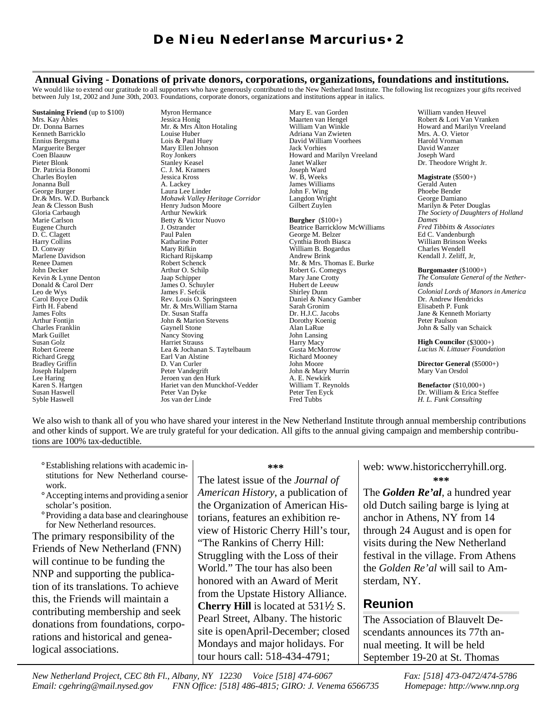### **Annual Giving - Donations of private donors, corporations, organizations, foundations and institutions.**

We would like to extend our gratitude to all supporters who have generously contributed to the New Netherland Institute. The following list recognizes your gifts received between July 1st, 2002 and June 30th, 2003. Foundations, corporate donors, organizations and institutions appear in italics.

**Sustaining Friend** (up to \$100) Mrs. Kay Ables Dr. Donna Barnes Kenneth Barricklo Ennius Bergsma Marguerite Berger Coen Blaauw Pieter Blonk Dr. Patricia Bonomi Charles Boylen Jonanna Bull George Burger Dr.& Mrs. W.D. Burbanck Jean & Clesson Bush Gloria Carbaugh Marie Carlson Eugene Church D. C. Clagett Harry Collins D. Conway Marlene Davidson Renee Damen John Decker Kevin & Lynne Denton Donald & Carol Derr Leo de Wys Carol Boyce Dudik Firth H. Fabend James Folts Arthur Fontijn Charles Franklin Mark Guillet Susan Golz Robert Greene Richard Gregg Bradley Griffin Joseph Halpern Lee Haring Karen S. Hartgen Susan Haswell Syble Haswell

Myron Hermance Jessica Honig Mr. & Mrs Alton Hotaling Louise Huber Lois & Paul Huey Mary Ellen Johnson Roy Jonkers Stanley Keasel C. J. M. Kramers Jessica Kross A. Lackey Laura Lee Linder *Mohawk Valley Heritage Corridor* Henry Judson Moore Arthur Newkirk Betty & Victor Nuovo J. Ostrander Paul Palen Katharine Potter Mary Rifkin Richard Rijskamp Robert Schenck Arthur O. Schilp Jaap Schipper James O. Schuyler James F. Sefcik Rev. Louis O. Springsteen Mr. & Mrs.William Starna Dr. Susan Staffa John & Marion Stevens Gaynell Stone Nancy Stoving Harriet Strauss Lea & Jochanan S. Taytelbaum Earl Van Alstine D. Van Curler Peter Vandegrift Jeroen van den Hurk Hariet van den Munckhof-Vedder Peter Van Dyke Jos van der Linde

Mary E. van Gorden Maarten van Hengel William Van Winkle Adriana Van Zwieten David William Voorhees Jack Vorhies Howard and Marilyn Vreeland Janet Walker Joseph Ward W. B, Weeks James Williams John F. Wing Langdon Wright Gilbert Zuylen

**Burgher** (\$100+) Beatrice Barricklow McWilliams George M. Belzer Cynthia Broth Biasca William B. Bogardus Andrew Brink Mr. & Mrs. Thomas E. Burke Robert G. Comegys Mary Jane Crotty Hubert de Leeuw Shirley Dunn Daniel & Nancy Gamber Sarah Gronim Dr. H.J.C. Jacobs Dorothy Koenig Alan LaRue John Lansing Harry Macy Gusta McMorrow Richard Mooney John Moore John & Mary Murrin A. E. Newkirk William T. Reynolds Peter Ten Eyck Fred Tubbs

William vanden Heuvel Robert & Lori Van Vranken Howard and Marilyn Vreeland Mrs. A. O. Vietor Harold Vroman David Wanzer Joseph Ward Dr. Theodore Wright Jr.

**Magistrate** (\$500+) Gerald Auten Phoebe Bender George Damiano Marilyn & Peter Douglas *The Society of Daughters of Holland Dames Fred Tibbitts & Associates* Ed C. Vandenburgh William Brinson Weeks Charles Wendell Kendall J. Zeliff, Jr,

**Burgomaster** (\$1000+) *The Consulate General of the Netherlands Colonial Lords of Manors in America*  Dr. Andrew Hendricks Elisabeth P. Funk Jane & Kenneth Moriarty Peter Paulson John & Sally van Schaick

**High Councilor** (\$3000+) *Lucius N. Littauer Foundation*

**Director General** (\$5000+) Mary Van Orsdol

**Benefactor** (\$10,000+) Dr. William & Erica Steffee *H. L. Funk Consulting*

We also wish to thank all of you who have shared your interest in the New Netherland Institute through annual membership contributions and other kinds of support. We are truly grateful for your dedication. All gifts to the annual giving campaign and membership contributions are 100% tax-deductible.

- **°**Establishing relations with academic institutions for New Netherland coursework.
- **°**Accepting interns and providing a senior scholar's position.
- **°**Providing a data base and clearinghouse for New Netherland resources.

The primary responsibility of the Friends of New Netherland (FNN) will continue to be funding the NNP and supporting the publication of its translations. To achieve this, the Friends will maintain a contributing membership and seek donations from foundations, corporations and historical and genealogical associations.

#### **\*\*\***

The latest issue of the *Journal of American History*, a publication of the Organization of American Historians, features an exhibition review of Historic Cherry Hill's tour, "The Rankins of Cherry Hill: Struggling with the Loss of their World." The tour has also been honored with an Award of Merit from the Upstate History Alliance. **Cherry Hill** is located at  $531\frac{1}{2}$  S. Pearl Street, Albany. The historic site is openApril-December; closed Mondays and major holidays. For tour hours call: 518-434-4791;

web: www.historiccherryhill.org. **\*\*\***

The *Golden Re'al*, a hundred year old Dutch sailing barge is lying at anchor in Athens, NY from 14 through 24 August and is open for visits during the New Netherland festival in the village. From Athens the *Golden Re'al* will sail to Amsterdam, NY.

### **Reunion**

The Association of Blauvelt Descendants announces its 77th annual meeting. It will be held September 19-20 at St. Thomas

*New Netherland Project, CEC 8th Fl., Albany, NY 12230 Voice [518] 474-6067 Fax: [518] 473-0472/474-5786 Email: cgehring@mail.nysed.gov FNN Office: [518] 486-4815; GIRO: J. Venema 6566735 Homepage: http://www.nnp.org*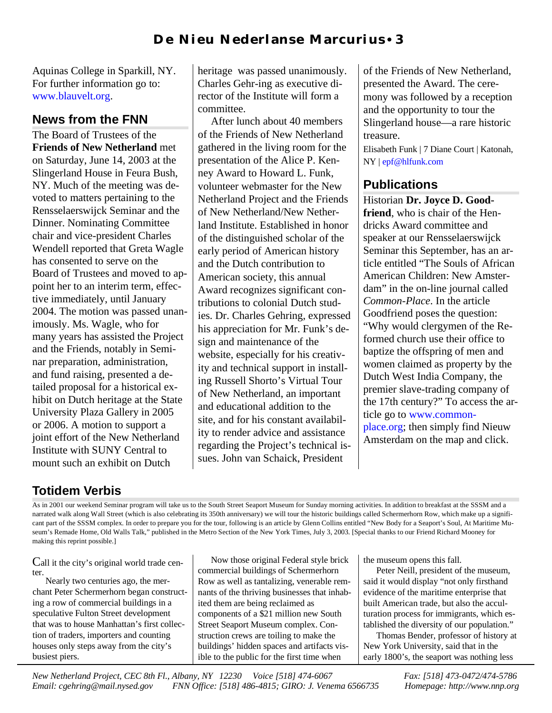Aquinas College in Sparkill, NY. For further information go to: [www.blauvelt.org.](http://www.blauvelt.org)

## **News from the FNN**

The Board of Trustees of the **Friends of New Netherland** met on Saturday, June 14, 2003 at the Slingerland House in Feura Bush, NY. Much of the meeting was devoted to matters pertaining to the Rensselaerswijck Seminar and the Dinner. Nominating Committee chair and vice-president Charles Wendell reported that Greta Wagle has consented to serve on the Board of Trustees and moved to appoint her to an interim term, effective immediately, until January 2004. The motion was passed unanimously. Ms. Wagle, who for many years has assisted the Project and the Friends, notably in Seminar preparation, administration, and fund raising, presented a detailed proposal for a historical exhibit on Dutch heritage at the State University Plaza Gallery in 2005 or 2006. A motion to support a joint effort of the New Netherland Institute with SUNY Central to mount such an exhibit on Dutch

heritage was passed unanimously. Charles Gehr-ing as executive director of the Institute will form a committee.

After lunch about 40 members of the Friends of New Netherland gathered in the living room for the presentation of the Alice P. Kenney Award to Howard L. Funk, volunteer webmaster for the New Netherland Project and the Friends of New Netherland/New Netherland Institute. Established in honor of the distinguished scholar of the early period of American history and the Dutch contribution to American society, this annual Award recognizes significant contributions to colonial Dutch studies. Dr. Charles Gehring, expressed his appreciation for Mr. Funk's design and maintenance of the website, especially for his creativity and technical support in installing Russell Shorto's Virtual Tour of New Netherland, an important and educational addition to the site, and for his constant availability to render advice and assistance regarding the Project's technical issues. John van Schaick, President

of the Friends of New Netherland, presented the Award. The ceremony was followed by a reception and the opportunity to tour the Slingerland house—a rare historic treasure.

Elisabeth Funk | 7 Diane Court | Katonah, NY | [epf@hlfunk.com](mailto:epf@hlfunk.com)

### **Publications**

Historian **Dr. Joyce D. Goodfriend**, who is chair of the Hendricks Award committee and speaker at our Rensselaerswijck Seminar this September, has an article entitled "The Souls of African American Children: New Amsterdam" in the on-line journal called *Common-Place*. In the article Goodfriend poses the question: "Why would clergymen of the Reformed church use their office to baptize the offspring of men and women claimed as property by the Dutch West India Company, the premier slave-trading company of the 17th century?" To access the article go [to www.common](http://www.common-place.org)place.org; then simply find Nieuw Amsterdam on the map and click.

# **Totidem Verbis**

As in 2001 our weekend Seminar program will take us to the South Street Seaport Museum for Sunday morning activities. In addition to breakfast at the SSSM and a narrated walk along Wall Street (which is also celebrating its 350th anniversary) we will tour the historic buildings called Schermerhorn Row, which make up a significant part of the SSSM complex. In order to prepare you for the tour, following is an article by Glenn Collins entitled "New Body for a Seaport's Soul, At Maritime Museum's Remade Home, Old Walls Talk," published in the Metro Section of the New York Times, July 3, 2003. [Special thanks to our Friend Richard Mooney for making this reprint possible.]

Call it the city's original world trade center.

Nearly two centuries ago, the merchant Peter Schermerhorn began constructing a row of commercial buildings in a speculative Fulton Street development that was to house Manhattan's first collection of traders, importers and counting houses only steps away from the city's busiest piers.

Now those original Federal style brick commercial buildings of Schermerhorn Row as well as tantalizing, venerable remnants of the thriving businesses that inhabited them are being reclaimed as components of a \$21 million new South Street Seaport Museum complex. Construction crews are toiling to make the buildings' hidden spaces and artifacts visible to the public for the first time when

the museum opens this fall.

Peter Neill, president of the museum, said it would display "not only firsthand evidence of the maritime enterprise that built American trade, but also the acculturation process for immigrants, which established the diversity of our population."

Thomas Bender, professor of history at New York University, said that in the early 1800's, the seaport was nothing less

*New Netherland Project, CEC 8th Fl., Albany, NY 12230 Voice [518] 474-6067 Fax: [518] 473-0472/474-5786 Email: cgehring@mail.nysed.gov FNN Office: [518] 486-4815; GIRO: J. Venema 6566735 Homepage: http://www.nnp.org*